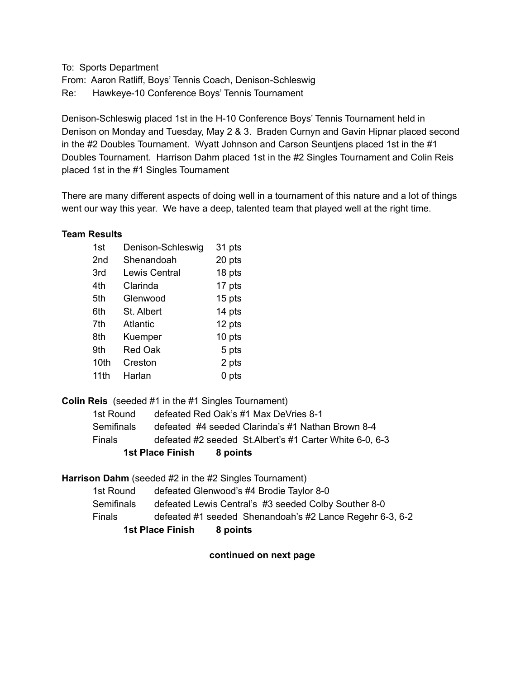To: Sports Department From: Aaron Ratliff, Boys' Tennis Coach, Denison-Schleswig Re: Hawkeye-10 Conference Boys' Tennis Tournament

Denison-Schleswig placed 1st in the H-10 Conference Boys' Tennis Tournament held in Denison on Monday and Tuesday, May 2 & 3. Braden Curnyn and Gavin Hipnar placed second in the #2 Doubles Tournament. Wyatt Johnson and Carson Seuntjens placed 1st in the #1 Doubles Tournament. Harrison Dahm placed 1st in the #2 Singles Tournament and Colin Reis placed 1st in the #1 Singles Tournament

There are many different aspects of doing well in a tournament of this nature and a lot of things went our way this year. We have a deep, talented team that played well at the right time.

#### **Team Results**

| 1st             | Denison-Schleswig    | 31 pts |
|-----------------|----------------------|--------|
| 2 <sub>nd</sub> | Shenandoah           | 20 pts |
| 3rd             | <b>Lewis Central</b> | 18 pts |
| 4th             | Clarinda             | 17 pts |
| 5th             | Glenwood             | 15 pts |
| 6th             | St. Albert           | 14 pts |
| 7th             | <b>Atlantic</b>      | 12 pts |
| 8th             | Kuemper              | 10 pts |
| 9th             | <b>Red Oak</b>       | 5 pts  |
| 10th            | Creston              | 2 pts  |
| 11th            | Harlan               | 0 pts  |

**Colin Reis** (seeded #1 in the #1 Singles Tournament)

|            | 1st Place Finish<br>8 points                             |
|------------|----------------------------------------------------------|
| Finals     | defeated #2 seeded St. Albert's #1 Carter White 6-0, 6-3 |
| Semifinals | defeated #4 seeded Clarinda's #1 Nathan Brown 8-4        |
| 1st Round  | defeated Red Oak's #1 Max DeVries 8-1                    |

**Harrison Dahm** (seeded #2 in the #2 Singles Tournament)

| 1st Round                           | defeated Glenwood's #4 Brodie Taylor 8-0                 |  |  |  |
|-------------------------------------|----------------------------------------------------------|--|--|--|
| Semifinals                          | defeated Lewis Central's #3 seeded Colby Souther 8-0     |  |  |  |
| Finals                              | defeated #1 seeded Shenandoah's #2 Lance Regehr 6-3, 6-2 |  |  |  |
| <b>1st Place Finish</b><br>8 points |                                                          |  |  |  |

**continued on next page**